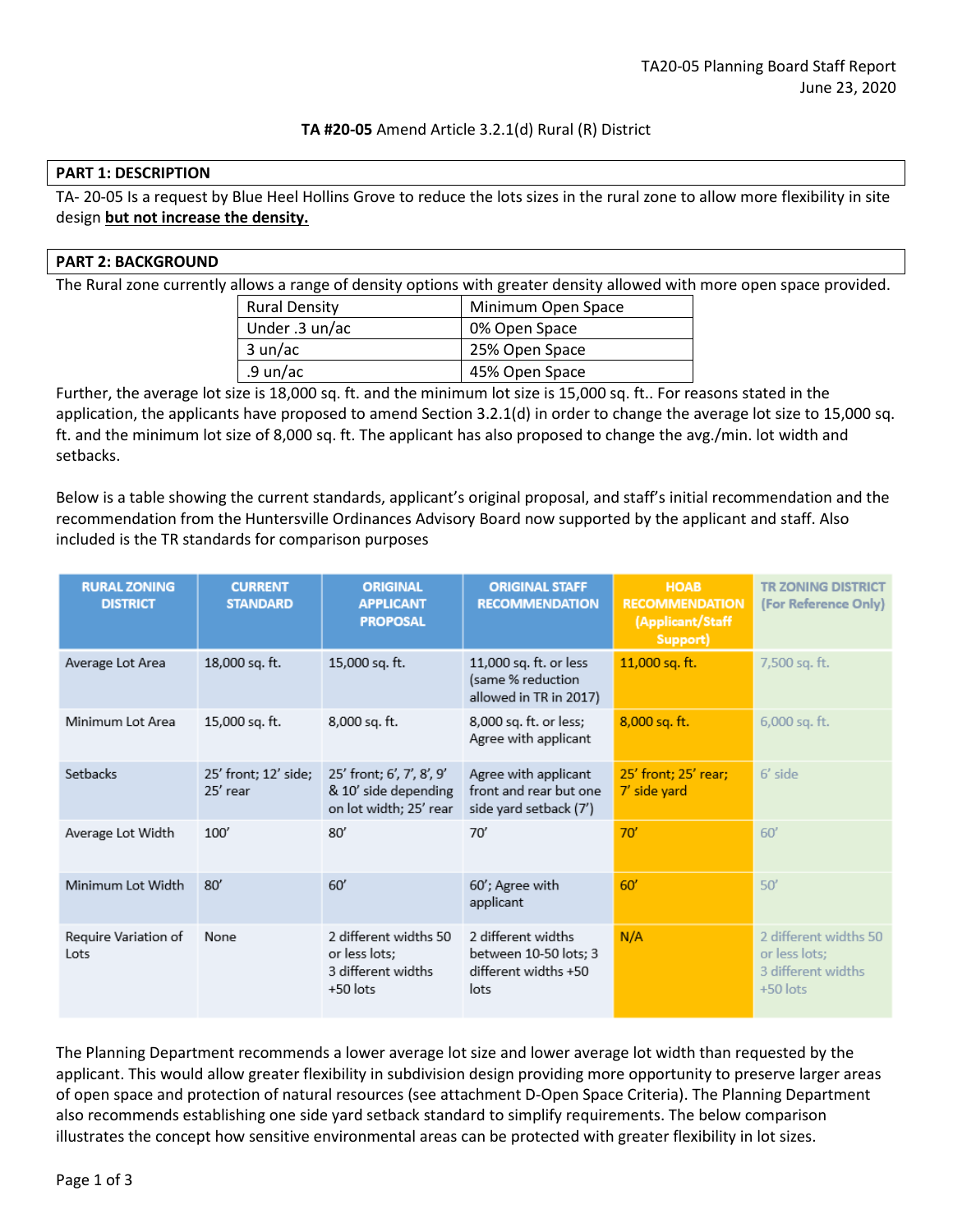## **TA #20-05** Amend Article 3.2.1(d) Rural (R) District

### **PART 1: DESCRIPTION**

TA- 20-05 Is a request by Blue Heel Hollins Grove to reduce the lots sizes in the rural zone to allow more flexibility in site design **but not increase the density.**

### **PART 2: BACKGROUND**

The Rural zone currently allows a range of density options with greater density allowed with more open space provided.

| <b>Rural Density</b> | Minimum Open Space |
|----------------------|--------------------|
| Under .3 un/ac       | 0% Open Space      |
| 3 un/ac              | 25% Open Space     |
| .9 un/ac             | 45% Open Space     |

Further, the average lot size is 18,000 sq. ft. and the minimum lot size is 15,000 sq. ft.. For reasons stated in the application, the applicants have proposed to amend Section 3.2.1(d) in order to change the average lot size to 15,000 sq. ft. and the minimum lot size of 8,000 sq. ft. The applicant has also proposed to change the avg./min. lot width and setbacks.

Below is a table showing the current standards, applicant's original proposal, and staff's initial recommendation and the recommendation from the Huntersville Ordinances Advisory Board now supported by the applicant and staff. Also included is the TR standards for comparison purposes

| <b>RURAL ZONING</b><br><b>DISTRICT</b> | <b>CURRENT</b><br><b>STANDARD</b> | <b>ORIGINAL</b><br><b>APPLICANT</b><br><b>PROPOSAL</b>                      | <b>ORIGINAL STAFF</b><br><b>RECOMMENDATION</b>                              | <b>HOAB</b><br><b>RECOMMENDATION</b><br>(Applicant/Staff<br>Support) | <b>TR ZONING DISTRICT</b><br>(For Reference Only)                          |
|----------------------------------------|-----------------------------------|-----------------------------------------------------------------------------|-----------------------------------------------------------------------------|----------------------------------------------------------------------|----------------------------------------------------------------------------|
| Average Lot Area                       | 18,000 sq. ft.                    | 15,000 sq. ft.                                                              | 11,000 sq. ft. or less<br>(same % reduction<br>allowed in TR in 2017)       | 11,000 sq. ft.                                                       | 7,500 sq. ft.                                                              |
| Minimum Lot Area                       | 15,000 sq. ft.                    | 8,000 sq. ft.                                                               | 8,000 sq. ft. or less;<br>Agree with applicant                              | $8,000$ sq. ft.                                                      | $6,000$ sq. ft.                                                            |
| Setbacks                               | 25' front; 12' side;<br>25' rear  | 25' front; 6', 7', 8', 9'<br>& 10' side depending<br>on lot width; 25' rear | Agree with applicant<br>front and rear but one<br>side yard setback (7')    | 25' front; 25' rear;<br>7' side yard                                 | $6'$ side                                                                  |
| Average Lot Width                      | 100'                              | 80'                                                                         | 70'                                                                         | 70'                                                                  | 60'                                                                        |
| Minimum Lot Width                      | 80'                               | 60'                                                                         | 60'; Agree with<br>applicant                                                | 60'                                                                  | 50'                                                                        |
| Require Variation of<br>Lots           | None                              | 2 different widths 50<br>or less lots;<br>3 different widths<br>$+50$ lots  | 2 different widths<br>between 10-50 lots; 3<br>different widths +50<br>lots | N/A                                                                  | 2 different widths 50<br>or less lots;<br>3 different widths<br>$+50$ lots |

The Planning Department recommends a lower average lot size and lower average lot width than requested by the applicant. This would allow greater flexibility in subdivision design providing more opportunity to preserve larger areas of open space and protection of natural resources (see attachment D-Open Space Criteria). The Planning Department also recommends establishing one side yard setback standard to simplify requirements. The below comparison illustrates the concept how sensitive environmental areas can be protected with greater flexibility in lot sizes.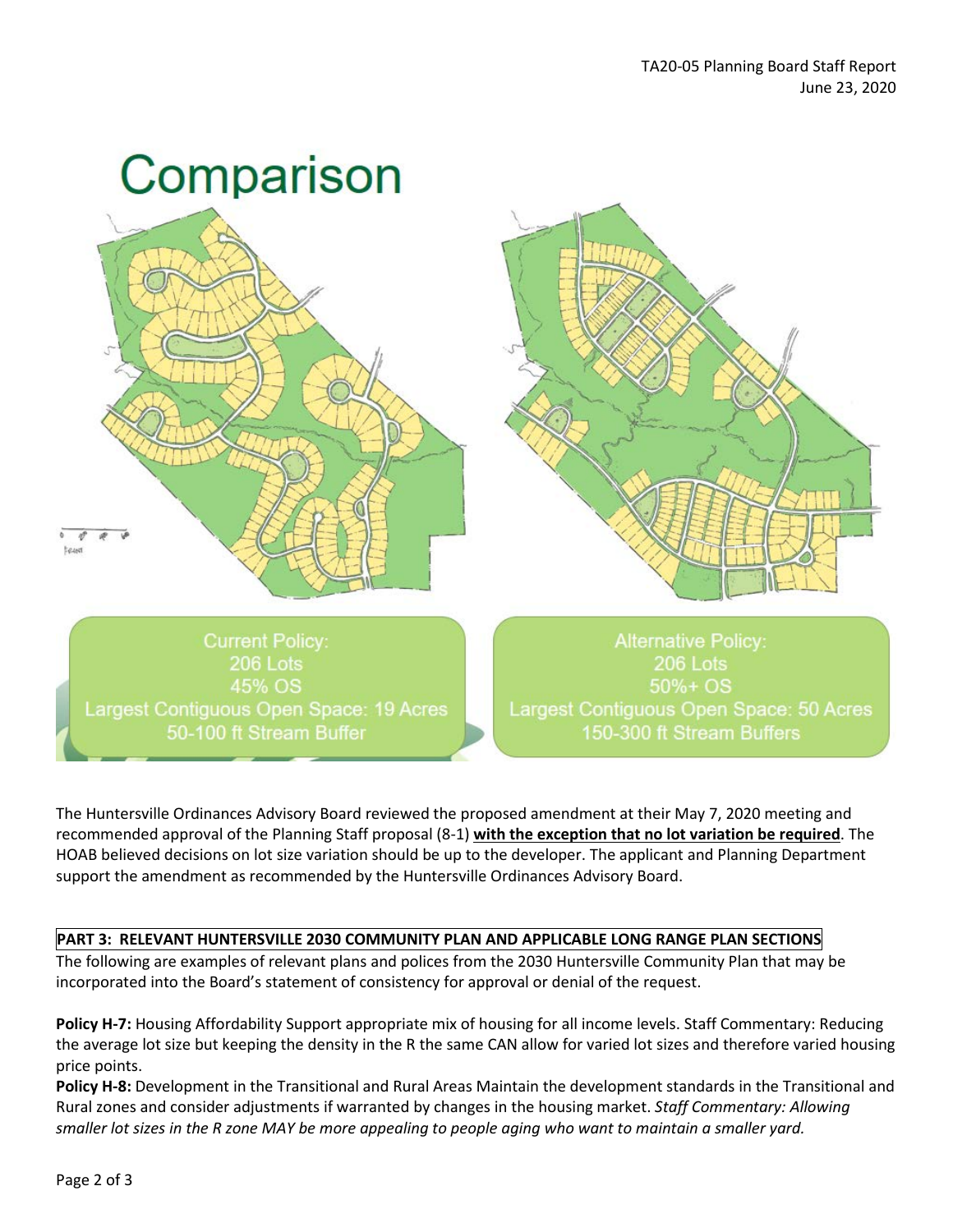

The Huntersville Ordinances Advisory Board reviewed the proposed amendment at their May 7, 2020 meeting and recommended approval of the Planning Staff proposal (8-1) **with the exception that no lot variation be required**. The HOAB believed decisions on lot size variation should be up to the developer. The applicant and Planning Department support the amendment as recommended by the Huntersville Ordinances Advisory Board.

# **PART 3: RELEVANT HUNTERSVILLE 2030 COMMUNITY PLAN AND APPLICABLE LONG RANGE PLAN SECTIONS**

The following are examples of relevant plans and polices from the 2030 Huntersville Community Plan that may be incorporated into the Board's statement of consistency for approval or denial of the request.

**Policy H-7:** Housing Affordability Support appropriate mix of housing for all income levels. Staff Commentary: Reducing the average lot size but keeping the density in the R the same CAN allow for varied lot sizes and therefore varied housing price points.

**Policy H-8:** Development in the Transitional and Rural Areas Maintain the development standards in the Transitional and Rural zones and consider adjustments if warranted by changes in the housing market. *Staff Commentary: Allowing smaller lot sizes in the R zone MAY be more appealing to people aging who want to maintain a smaller yard.*